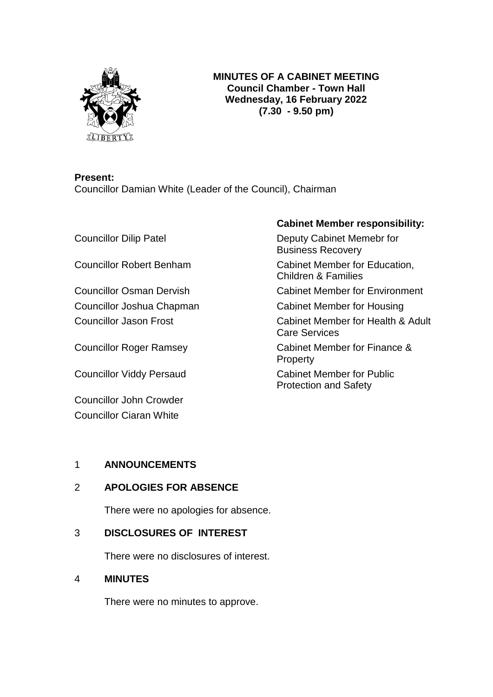

## **MINUTES OF A CABINET MEETING Council Chamber - Town Hall Wednesday, 16 February 2022 (7.30 - 9.50 pm)**

### **Present:**

Councillor Damian White (Leader of the Council), Chairman

Councillor Viddy Persaud Cabinet Member for Public

Councillor John Crowder Councillor Ciaran White

# **Cabinet Member responsibility:**

Councillor Dilip Patel **Deputy Cabinet Memebr for** Business Recovery Councillor Robert Benham Cabinet Member for Education, Children & Families Councillor Osman Dervish Cabinet Member for Environment Councillor Joshua Chapman Cabinet Member for Housing Councillor Jason Frost Cabinet Member for Health & Adult

Care Services

Councillor Roger Ramsey Cabinet Member for Finance & **Property** 

Protection and Safety

# 1 **ANNOUNCEMENTS**

# 2 **APOLOGIES FOR ABSENCE**

There were no apologies for absence.

# 3 **DISCLOSURES OF INTEREST**

There were no disclosures of interest.

# 4 **MINUTES**

There were no minutes to approve.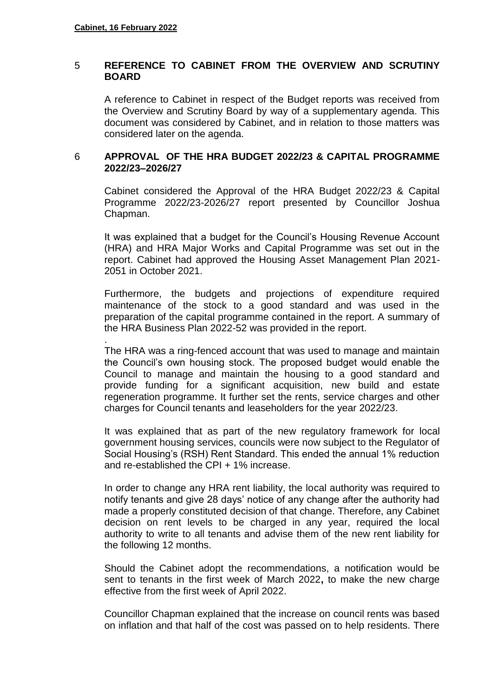#### 5 **REFERENCE TO CABINET FROM THE OVERVIEW AND SCRUTINY BOARD**

A reference to Cabinet in respect of the Budget reports was received from the Overview and Scrutiny Board by way of a supplementary agenda. This document was considered by Cabinet, and in relation to those matters was considered later on the agenda.

#### 6 **APPROVAL OF THE HRA BUDGET 2022/23 & CAPITAL PROGRAMME 2022/23–2026/27**

Cabinet considered the Approval of the HRA Budget 2022/23 & Capital Programme 2022/23-2026/27 report presented by Councillor Joshua Chapman.

It was explained that a budget for the Council's Housing Revenue Account (HRA) and HRA Major Works and Capital Programme was set out in the report. Cabinet had approved the Housing Asset Management Plan 2021- 2051 in October 2021.

Furthermore, the budgets and projections of expenditure required maintenance of the stock to a good standard and was used in the preparation of the capital programme contained in the report. A summary of the HRA Business Plan 2022-52 was provided in the report.

. The HRA was a ring-fenced account that was used to manage and maintain the Council's own housing stock. The proposed budget would enable the Council to manage and maintain the housing to a good standard and provide funding for a significant acquisition, new build and estate regeneration programme. It further set the rents, service charges and other charges for Council tenants and leaseholders for the year 2022/23.

It was explained that as part of the new regulatory framework for local government housing services, councils were now subject to the Regulator of Social Housing's (RSH) Rent Standard. This ended the annual 1% reduction and re-established the CPI + 1% increase.

In order to change any HRA rent liability, the local authority was required to notify tenants and give 28 days' notice of any change after the authority had made a properly constituted decision of that change. Therefore, any Cabinet decision on rent levels to be charged in any year, required the local authority to write to all tenants and advise them of the new rent liability for the following 12 months.

Should the Cabinet adopt the recommendations, a notification would be sent to tenants in the first week of March 2022**,** to make the new charge effective from the first week of April 2022.

Councillor Chapman explained that the increase on council rents was based on inflation and that half of the cost was passed on to help residents. There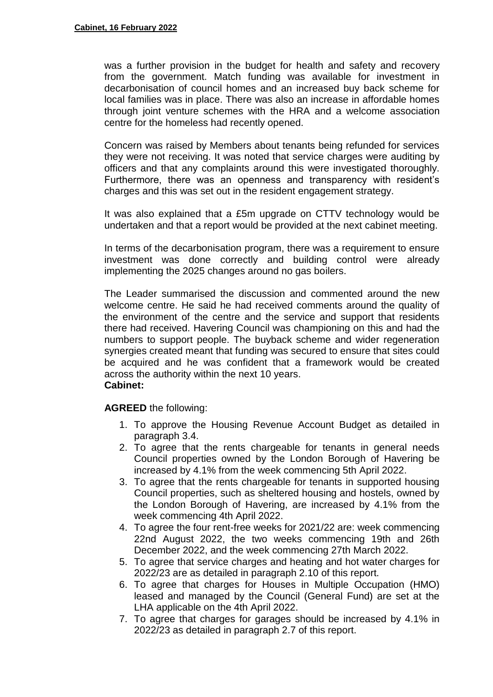was a further provision in the budget for health and safety and recovery from the government. Match funding was available for investment in decarbonisation of council homes and an increased buy back scheme for local families was in place. There was also an increase in affordable homes through joint venture schemes with the HRA and a welcome association centre for the homeless had recently opened.

Concern was raised by Members about tenants being refunded for services they were not receiving. It was noted that service charges were auditing by officers and that any complaints around this were investigated thoroughly. Furthermore, there was an openness and transparency with resident's charges and this was set out in the resident engagement strategy.

It was also explained that a £5m upgrade on CTTV technology would be undertaken and that a report would be provided at the next cabinet meeting.

In terms of the decarbonisation program, there was a requirement to ensure investment was done correctly and building control were already implementing the 2025 changes around no gas boilers.

The Leader summarised the discussion and commented around the new welcome centre. He said he had received comments around the quality of the environment of the centre and the service and support that residents there had received. Havering Council was championing on this and had the numbers to support people. The buyback scheme and wider regeneration synergies created meant that funding was secured to ensure that sites could be acquired and he was confident that a framework would be created across the authority within the next 10 years. **Cabinet:**

- 1. To approve the Housing Revenue Account Budget as detailed in paragraph 3.4.
- 2. To agree that the rents chargeable for tenants in general needs Council properties owned by the London Borough of Havering be increased by 4.1% from the week commencing 5th April 2022.
- 3. To agree that the rents chargeable for tenants in supported housing Council properties, such as sheltered housing and hostels, owned by the London Borough of Havering, are increased by 4.1% from the week commencing 4th April 2022.
- 4. To agree the four rent-free weeks for 2021/22 are: week commencing 22nd August 2022, the two weeks commencing 19th and 26th December 2022, and the week commencing 27th March 2022.
- 5. To agree that service charges and heating and hot water charges for 2022/23 are as detailed in paragraph 2.10 of this report.
- 6. To agree that charges for Houses in Multiple Occupation (HMO) leased and managed by the Council (General Fund) are set at the LHA applicable on the 4th April 2022.
- 7. To agree that charges for garages should be increased by 4.1% in 2022/23 as detailed in paragraph 2.7 of this report.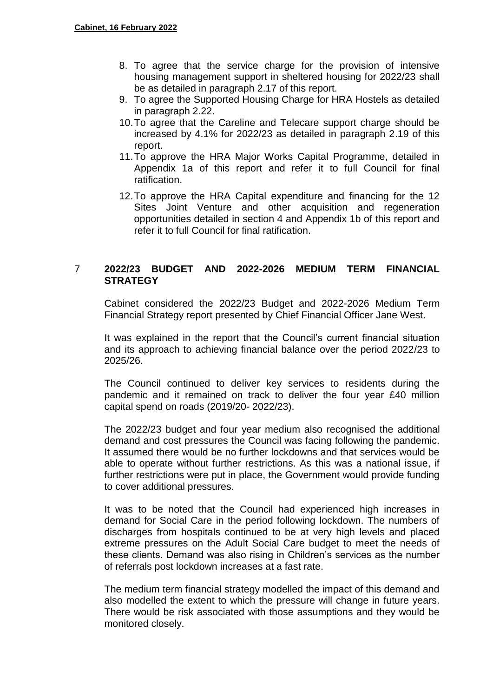- 8. To agree that the service charge for the provision of intensive housing management support in sheltered housing for 2022/23 shall be as detailed in paragraph 2.17 of this report.
- 9. To agree the Supported Housing Charge for HRA Hostels as detailed in paragraph 2.22.
- 10.To agree that the Careline and Telecare support charge should be increased by 4.1% for 2022/23 as detailed in paragraph 2.19 of this report.
- 11.To approve the HRA Major Works Capital Programme, detailed in Appendix 1a of this report and refer it to full Council for final ratification.
- 12.To approve the HRA Capital expenditure and financing for the 12 Sites Joint Venture and other acquisition and regeneration opportunities detailed in section 4 and Appendix 1b of this report and refer it to full Council for final ratification.

### 7 **2022/23 BUDGET AND 2022-2026 MEDIUM TERM FINANCIAL STRATEGY**

Cabinet considered the 2022/23 Budget and 2022-2026 Medium Term Financial Strategy report presented by Chief Financial Officer Jane West.

It was explained in the report that the Council's current financial situation and its approach to achieving financial balance over the period 2022/23 to 2025/26.

The Council continued to deliver key services to residents during the pandemic and it remained on track to deliver the four year £40 million capital spend on roads (2019/20- 2022/23).

The 2022/23 budget and four year medium also recognised the additional demand and cost pressures the Council was facing following the pandemic. It assumed there would be no further lockdowns and that services would be able to operate without further restrictions. As this was a national issue, if further restrictions were put in place, the Government would provide funding to cover additional pressures.

It was to be noted that the Council had experienced high increases in demand for Social Care in the period following lockdown. The numbers of discharges from hospitals continued to be at very high levels and placed extreme pressures on the Adult Social Care budget to meet the needs of these clients. Demand was also rising in Children's services as the number of referrals post lockdown increases at a fast rate.

The medium term financial strategy modelled the impact of this demand and also modelled the extent to which the pressure will change in future years. There would be risk associated with those assumptions and they would be monitored closely.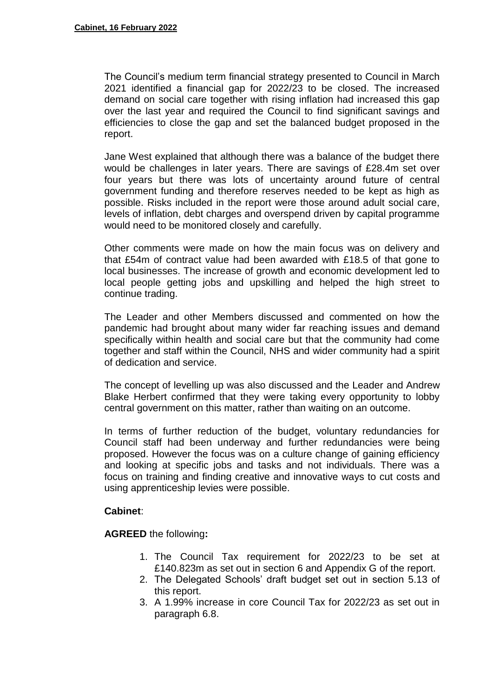The Council's medium term financial strategy presented to Council in March 2021 identified a financial gap for 2022/23 to be closed. The increased demand on social care together with rising inflation had increased this gap over the last year and required the Council to find significant savings and efficiencies to close the gap and set the balanced budget proposed in the report.

Jane West explained that although there was a balance of the budget there would be challenges in later years. There are savings of £28.4m set over four years but there was lots of uncertainty around future of central government funding and therefore reserves needed to be kept as high as possible. Risks included in the report were those around adult social care, levels of inflation, debt charges and overspend driven by capital programme would need to be monitored closely and carefully.

Other comments were made on how the main focus was on delivery and that £54m of contract value had been awarded with £18.5 of that gone to local businesses. The increase of growth and economic development led to local people getting jobs and upskilling and helped the high street to continue trading.

The Leader and other Members discussed and commented on how the pandemic had brought about many wider far reaching issues and demand specifically within health and social care but that the community had come together and staff within the Council, NHS and wider community had a spirit of dedication and service.

The concept of levelling up was also discussed and the Leader and Andrew Blake Herbert confirmed that they were taking every opportunity to lobby central government on this matter, rather than waiting on an outcome.

In terms of further reduction of the budget, voluntary redundancies for Council staff had been underway and further redundancies were being proposed. However the focus was on a culture change of gaining efficiency and looking at specific jobs and tasks and not individuals. There was a focus on training and finding creative and innovative ways to cut costs and using apprenticeship levies were possible.

### **Cabinet**:

- 1. The Council Tax requirement for 2022/23 to be set at £140.823m as set out in section 6 and Appendix G of the report.
- 2. The Delegated Schools' draft budget set out in section 5.13 of this report.
- 3. A 1.99% increase in core Council Tax for 2022/23 as set out in paragraph 6.8.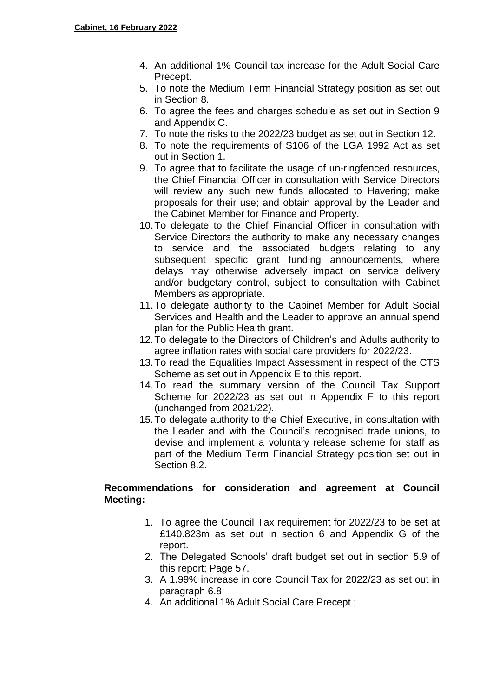- 4. An additional 1% Council tax increase for the Adult Social Care Precept.
- 5. To note the Medium Term Financial Strategy position as set out in Section 8.
- 6. To agree the fees and charges schedule as set out in Section 9 and Appendix C.
- 7. To note the risks to the 2022/23 budget as set out in Section 12.
- 8. To note the requirements of S106 of the LGA 1992 Act as set out in Section 1.
- 9. To agree that to facilitate the usage of un-ringfenced resources, the Chief Financial Officer in consultation with Service Directors will review any such new funds allocated to Havering; make proposals for their use; and obtain approval by the Leader and the Cabinet Member for Finance and Property.
- 10.To delegate to the Chief Financial Officer in consultation with Service Directors the authority to make any necessary changes to service and the associated budgets relating to any subsequent specific grant funding announcements, where delays may otherwise adversely impact on service delivery and/or budgetary control, subject to consultation with Cabinet Members as appropriate.
- 11.To delegate authority to the Cabinet Member for Adult Social Services and Health and the Leader to approve an annual spend plan for the Public Health grant.
- 12.To delegate to the Directors of Children's and Adults authority to agree inflation rates with social care providers for 2022/23.
- 13.To read the Equalities Impact Assessment in respect of the CTS Scheme as set out in Appendix E to this report.
- 14.To read the summary version of the Council Tax Support Scheme for 2022/23 as set out in Appendix F to this report (unchanged from 2021/22).
- 15.To delegate authority to the Chief Executive, in consultation with the Leader and with the Council's recognised trade unions, to devise and implement a voluntary release scheme for staff as part of the Medium Term Financial Strategy position set out in Section 8.2.

## **Recommendations for consideration and agreement at Council Meeting:**

- 1. To agree the Council Tax requirement for 2022/23 to be set at £140.823m as set out in section 6 and Appendix G of the report.
- 2. The Delegated Schools' draft budget set out in section 5.9 of this report; Page 57.
- 3. A 1.99% increase in core Council Tax for 2022/23 as set out in paragraph 6.8;
- 4. An additional 1% Adult Social Care Precept ;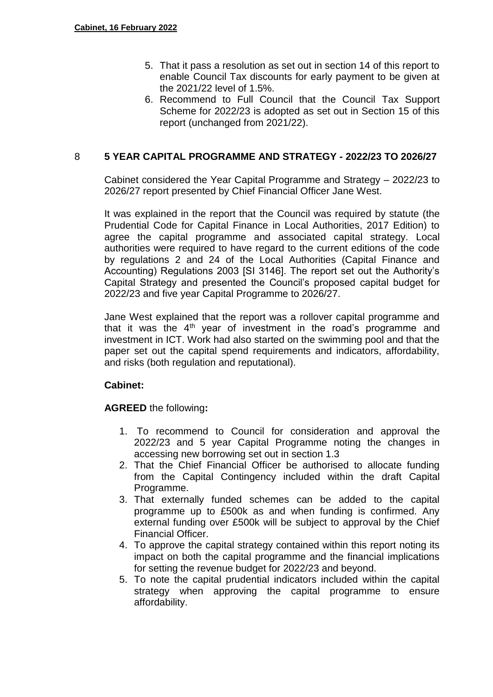- 5. That it pass a resolution as set out in section 14 of this report to enable Council Tax discounts for early payment to be given at the 2021/22 level of 1.5%.
- 6. Recommend to Full Council that the Council Tax Support Scheme for 2022/23 is adopted as set out in Section 15 of this report (unchanged from 2021/22).

### 8 **5 YEAR CAPITAL PROGRAMME AND STRATEGY - 2022/23 TO 2026/27**

Cabinet considered the Year Capital Programme and Strategy – 2022/23 to 2026/27 report presented by Chief Financial Officer Jane West.

It was explained in the report that the Council was required by statute (the Prudential Code for Capital Finance in Local Authorities, 2017 Edition) to agree the capital programme and associated capital strategy. Local authorities were required to have regard to the current editions of the code by regulations 2 and 24 of the Local Authorities (Capital Finance and Accounting) Regulations 2003 [SI 3146]. The report set out the Authority's Capital Strategy and presented the Council's proposed capital budget for 2022/23 and five year Capital Programme to 2026/27.

Jane West explained that the report was a rollover capital programme and that it was the  $4<sup>th</sup>$  year of investment in the road's programme and investment in ICT. Work had also started on the swimming pool and that the paper set out the capital spend requirements and indicators, affordability, and risks (both regulation and reputational).

### **Cabinet:**

- 1. To recommend to Council for consideration and approval the 2022/23 and 5 year Capital Programme noting the changes in accessing new borrowing set out in section 1.3
- 2. That the Chief Financial Officer be authorised to allocate funding from the Capital Contingency included within the draft Capital Programme.
- 3. That externally funded schemes can be added to the capital programme up to £500k as and when funding is confirmed. Any external funding over £500k will be subject to approval by the Chief Financial Officer.
- 4. To approve the capital strategy contained within this report noting its impact on both the capital programme and the financial implications for setting the revenue budget for 2022/23 and beyond.
- 5. To note the capital prudential indicators included within the capital strategy when approving the capital programme to ensure affordability.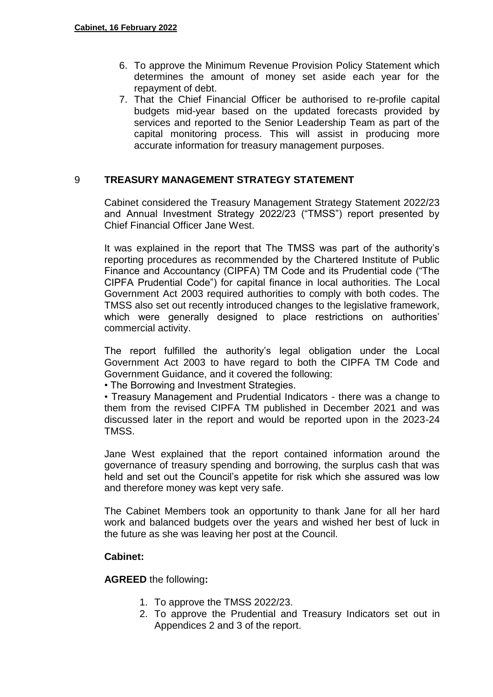- 6. To approve the Minimum Revenue Provision Policy Statement which determines the amount of money set aside each year for the repayment of debt.
- 7. That the Chief Financial Officer be authorised to re-profile capital budgets mid-year based on the updated forecasts provided by services and reported to the Senior Leadership Team as part of the capital monitoring process. This will assist in producing more accurate information for treasury management purposes.

### 9 **TREASURY MANAGEMENT STRATEGY STATEMENT**

Cabinet considered the Treasury Management Strategy Statement 2022/23 and Annual Investment Strategy 2022/23 ("TMSS") report presented by Chief Financial Officer Jane West.

It was explained in the report that The TMSS was part of the authority's reporting procedures as recommended by the Chartered Institute of Public Finance and Accountancy (CIPFA) TM Code and its Prudential code ("The CIPFA Prudential Code") for capital finance in local authorities. The Local Government Act 2003 required authorities to comply with both codes. The TMSS also set out recently introduced changes to the legislative framework, which were generally designed to place restrictions on authorities' commercial activity.

The report fulfilled the authority's legal obligation under the Local Government Act 2003 to have regard to both the CIPFA TM Code and Government Guidance, and it covered the following:

• The Borrowing and Investment Strategies.

• Treasury Management and Prudential Indicators - there was a change to them from the revised CIPFA TM published in December 2021 and was discussed later in the report and would be reported upon in the 2023-24 TMSS.

Jane West explained that the report contained information around the governance of treasury spending and borrowing, the surplus cash that was held and set out the Council's appetite for risk which she assured was low and therefore money was kept very safe.

The Cabinet Members took an opportunity to thank Jane for all her hard work and balanced budgets over the years and wished her best of luck in the future as she was leaving her post at the Council.

### **Cabinet:**

- 1. To approve the TMSS 2022/23.
- 2. To approve the Prudential and Treasury Indicators set out in Appendices 2 and 3 of the report.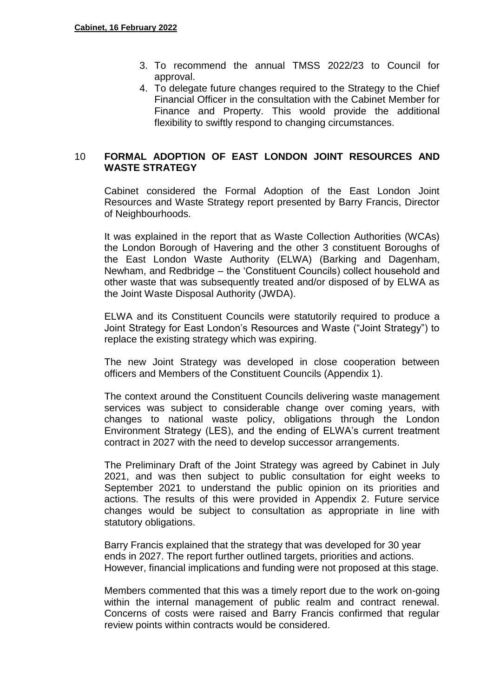- 3. To recommend the annual TMSS 2022/23 to Council for approval.
- 4. To delegate future changes required to the Strategy to the Chief Financial Officer in the consultation with the Cabinet Member for Finance and Property. This woold provide the additional flexibility to swiftly respond to changing circumstances.

## 10 **FORMAL ADOPTION OF EAST LONDON JOINT RESOURCES AND WASTE STRATEGY**

Cabinet considered the Formal Adoption of the East London Joint Resources and Waste Strategy report presented by Barry Francis, Director of Neighbourhoods.

It was explained in the report that as Waste Collection Authorities (WCAs) the London Borough of Havering and the other 3 constituent Boroughs of the East London Waste Authority (ELWA) (Barking and Dagenham, Newham, and Redbridge – the 'Constituent Councils) collect household and other waste that was subsequently treated and/or disposed of by ELWA as the Joint Waste Disposal Authority (JWDA).

ELWA and its Constituent Councils were statutorily required to produce a Joint Strategy for East London's Resources and Waste ("Joint Strategy") to replace the existing strategy which was expiring.

The new Joint Strategy was developed in close cooperation between officers and Members of the Constituent Councils (Appendix 1).

The context around the Constituent Councils delivering waste management services was subject to considerable change over coming years, with changes to national waste policy, obligations through the London Environment Strategy (LES), and the ending of ELWA's current treatment contract in 2027 with the need to develop successor arrangements.

The Preliminary Draft of the Joint Strategy was agreed by Cabinet in July 2021, and was then subject to public consultation for eight weeks to September 2021 to understand the public opinion on its priorities and actions. The results of this were provided in Appendix 2. Future service changes would be subject to consultation as appropriate in line with statutory obligations.

Barry Francis explained that the strategy that was developed for 30 year ends in 2027. The report further outlined targets, priorities and actions. However, financial implications and funding were not proposed at this stage.

Members commented that this was a timely report due to the work on-going within the internal management of public realm and contract renewal. Concerns of costs were raised and Barry Francis confirmed that regular review points within contracts would be considered.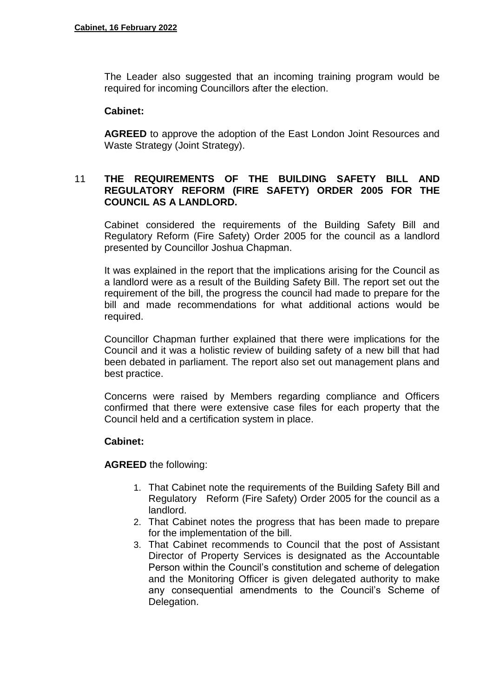The Leader also suggested that an incoming training program would be required for incoming Councillors after the election.

#### **Cabinet:**

**AGREED** to approve the adoption of the East London Joint Resources and Waste Strategy (Joint Strategy).

### 11 **THE REQUIREMENTS OF THE BUILDING SAFETY BILL AND REGULATORY REFORM (FIRE SAFETY) ORDER 2005 FOR THE COUNCIL AS A LANDLORD.**

Cabinet considered the requirements of the Building Safety Bill and Regulatory Reform (Fire Safety) Order 2005 for the council as a landlord presented by Councillor Joshua Chapman.

It was explained in the report that the implications arising for the Council as a landlord were as a result of the Building Safety Bill. The report set out the requirement of the bill, the progress the council had made to prepare for the bill and made recommendations for what additional actions would be required.

Councillor Chapman further explained that there were implications for the Council and it was a holistic review of building safety of a new bill that had been debated in parliament. The report also set out management plans and best practice.

Concerns were raised by Members regarding compliance and Officers confirmed that there were extensive case files for each property that the Council held and a certification system in place.

### **Cabinet:**

- 1. That Cabinet note the requirements of the Building Safety Bill and Regulatory Reform (Fire Safety) Order 2005 for the council as a landlord.
- 2. That Cabinet notes the progress that has been made to prepare for the implementation of the bill.
- 3. That Cabinet recommends to Council that the post of Assistant Director of Property Services is designated as the Accountable Person within the Council's constitution and scheme of delegation and the Monitoring Officer is given delegated authority to make any consequential amendments to the Council's Scheme of Delegation.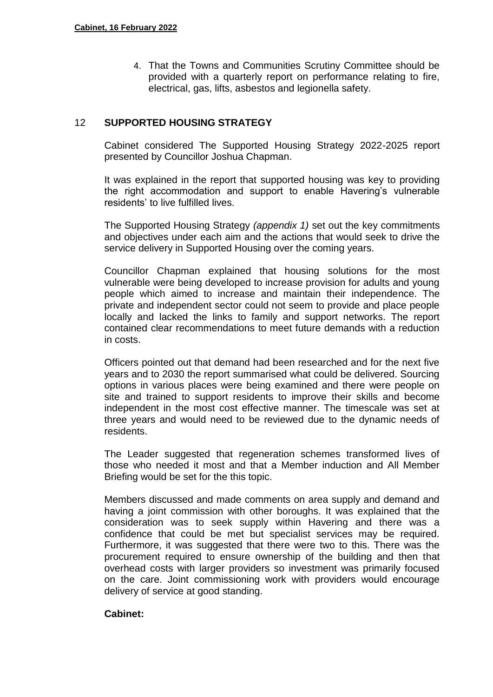4. That the Towns and Communities Scrutiny Committee should be provided with a quarterly report on performance relating to fire, electrical, gas, lifts, asbestos and legionella safety.

### 12 **SUPPORTED HOUSING STRATEGY**

Cabinet considered The Supported Housing Strategy 2022-2025 report presented by Councillor Joshua Chapman.

It was explained in the report that supported housing was key to providing the right accommodation and support to enable Havering's vulnerable residents' to live fulfilled lives.

The Supported Housing Strategy *(appendix 1)* set out the key commitments and objectives under each aim and the actions that would seek to drive the service delivery in Supported Housing over the coming years.

Councillor Chapman explained that housing solutions for the most vulnerable were being developed to increase provision for adults and young people which aimed to increase and maintain their independence. The private and independent sector could not seem to provide and place people locally and lacked the links to family and support networks. The report contained clear recommendations to meet future demands with a reduction in costs.

Officers pointed out that demand had been researched and for the next five years and to 2030 the report summarised what could be delivered. Sourcing options in various places were being examined and there were people on site and trained to support residents to improve their skills and become independent in the most cost effective manner. The timescale was set at three years and would need to be reviewed due to the dynamic needs of residents.

The Leader suggested that regeneration schemes transformed lives of those who needed it most and that a Member induction and All Member Briefing would be set for the this topic.

Members discussed and made comments on area supply and demand and having a joint commission with other boroughs. It was explained that the consideration was to seek supply within Havering and there was a confidence that could be met but specialist services may be required. Furthermore, it was suggested that there were two to this. There was the procurement required to ensure ownership of the building and then that overhead costs with larger providers so investment was primarily focused on the care. Joint commissioning work with providers would encourage delivery of service at good standing.

#### **Cabinet:**